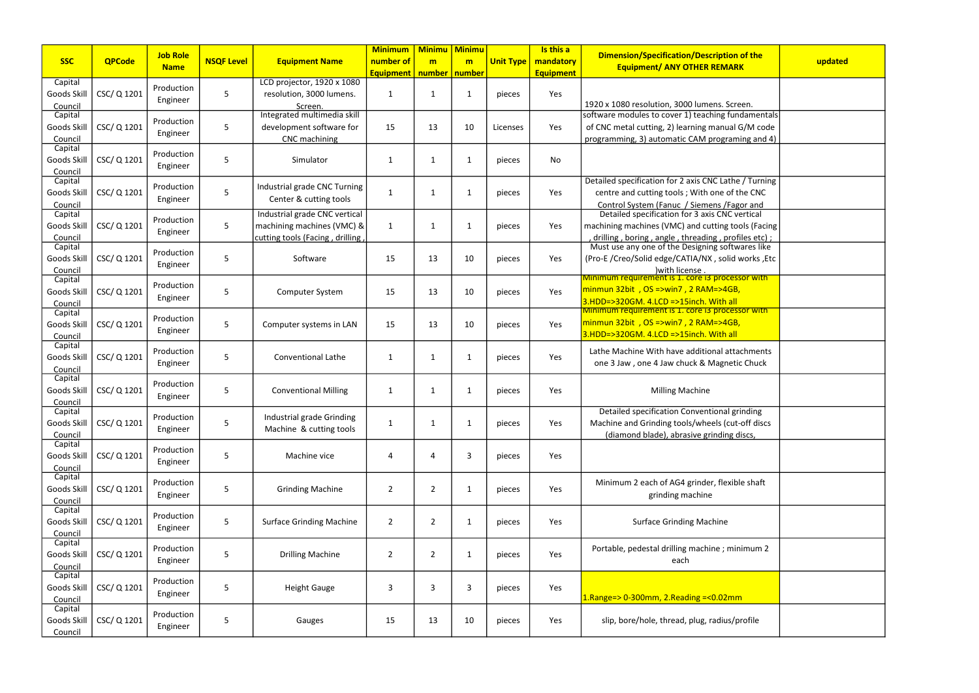|                    |               |                 |                   |                                 | <b>Minimum</b>   | <b>Minimu</b>   | <b>Minimu</b> |                  | Is this a        |                                                                                                        |         |
|--------------------|---------------|-----------------|-------------------|---------------------------------|------------------|-----------------|---------------|------------------|------------------|--------------------------------------------------------------------------------------------------------|---------|
| <b>SSC</b>         | <b>QPCode</b> | <b>Job Role</b> | <b>NSQF Level</b> | <b>Equipment Name</b>           | number of        | m               | m             | <b>Unit Type</b> | mandatory        | <b>Dimension/Specification/Description of the</b>                                                      | updated |
|                    |               | <b>Name</b>     |                   |                                 | <b>Equipment</b> | number   number |               |                  | <b>Equipment</b> | <b>Equipment/ ANY OTHER REMARK</b>                                                                     |         |
| Capital            |               | Production      |                   | LCD projector, 1920 x 1080      |                  |                 |               |                  |                  |                                                                                                        |         |
| Goods Skill        | CSC/Q1201     |                 | 5                 | resolution, 3000 lumens.        | 1                | $\mathbf{1}$    | $\mathbf{1}$  | pieces           | Yes              |                                                                                                        |         |
| Council            |               | Engineer        |                   | Screen.                         |                  |                 |               |                  |                  | 1920 x 1080 resolution, 3000 lumens. Screen.                                                           |         |
| Capital            |               | Production      |                   | Integrated multimedia skill     |                  |                 |               |                  |                  | software modules to cover 1) teaching fundamentals                                                     |         |
| Goods Skill        | CSC/Q1201     | Engineer        | 5                 | development software for        | 15               | 13              | 10            | Licenses         | Yes              | of CNC metal cutting, 2) learning manual G/M code                                                      |         |
| Council            |               |                 |                   | CNC machining                   |                  |                 |               |                  |                  | programming, 3) automatic CAM programing and 4)                                                        |         |
| Capital            |               | Production      |                   |                                 |                  |                 |               |                  |                  |                                                                                                        |         |
| Goods Skill        | CSC/Q1201     | Engineer        | 5                 | Simulator                       | $\mathbf{1}$     | $\mathbf{1}$    | 1             | pieces           | <b>No</b>        |                                                                                                        |         |
| Council            |               |                 |                   |                                 |                  |                 |               |                  |                  |                                                                                                        |         |
| Capital            |               | Production      |                   | Industrial grade CNC Turning    |                  |                 |               |                  |                  | Detailed specification for 2 axis CNC Lathe / Turning                                                  |         |
| Goods Skill        | CSC/Q1201     | Engineer        | 5                 | Center & cutting tools          | 1                | $\mathbf{1}$    | 1             | pieces           | Yes              | centre and cutting tools; With one of the CNC                                                          |         |
| Council            |               |                 |                   | Industrial grade CNC vertical   |                  |                 |               |                  |                  | Control System (Fanuc / Siemens / Fagor and<br>Detailed specification for 3 axis CNC vertical          |         |
| Capital            |               | Production      | 5                 |                                 |                  |                 |               |                  |                  |                                                                                                        |         |
| Goods Skill        | CSC/Q1201     | Engineer        |                   | machining machines (VMC) &      | $\mathbf{1}$     | $\mathbf{1}$    | 1             | pieces           | Yes              | machining machines (VMC) and cutting tools (Facing                                                     |         |
| Council<br>Capital |               |                 |                   | cutting tools (Facing, drilling |                  |                 |               |                  |                  | drilling, boring, angle, threading, profiles etc);<br>Must use any one of the Designing softwares like |         |
| Goods Skill        | CSC/Q1201     | Production      | 5                 | Software                        | 15               | 13              | 10            | pieces           | Yes              | (Pro-E / Creo/Solid edge/CATIA/NX, solid works, Etc                                                    |         |
| Council            |               | Engineer        |                   |                                 |                  |                 |               |                  |                  |                                                                                                        |         |
| Capital            |               |                 |                   |                                 |                  |                 |               |                  |                  | .with license<br><b>Minimum requirement is 1. core i3 processor with</b>                               |         |
| Goods Skill        | CSC/ Q 1201   | Production      | 5                 | <b>Computer System</b>          | 15               | 13              | 10            | pieces           | Yes              | minmun 32bit, OS =>win7, 2 RAM=>4GB,                                                                   |         |
| Council            |               | Engineer        |                   |                                 |                  |                 |               |                  |                  | 3.HDD=>320GM. 4.LCD =>15inch. With all                                                                 |         |
| Capital            |               |                 |                   |                                 |                  |                 |               |                  |                  | Minimum requirement is 1. core i3 processor with                                                       |         |
| Goods Skill        | CSC/Q1201     | Production      | 5                 | Computer systems in LAN         | 15               | 13              | 10            | pieces           | Yes              | $\frac{1}{2}$ minmun 32bit, OS =>win7, 2 RAM=>4GB,                                                     |         |
| Council            |               | Engineer        |                   |                                 |                  |                 |               |                  |                  | 3.HDD=>320GM. 4.LCD =>15inch. With all                                                                 |         |
| Capital            |               |                 |                   |                                 |                  |                 |               |                  |                  |                                                                                                        |         |
| Goods Skill        | CSC/Q1201     | Production      | 5                 | <b>Conventional Lathe</b>       | $\mathbf{1}$     | $\mathbf 1$     | 1             | pieces           | Yes              | Lathe Machine With have additional attachments                                                         |         |
| Council            |               | Engineer        |                   |                                 |                  |                 |               |                  |                  | one 3 Jaw, one 4 Jaw chuck & Magnetic Chuck                                                            |         |
| Capital            |               | Production      |                   |                                 |                  |                 |               |                  |                  |                                                                                                        |         |
| Goods Skill        | CSC/Q1201     | Engineer        | 5                 | <b>Conventional Milling</b>     | $\mathbf{1}$     | $\mathbf 1$     | 1             | pieces           | Yes              | <b>Milling Machine</b>                                                                                 |         |
| Council            |               |                 |                   |                                 |                  |                 |               |                  |                  |                                                                                                        |         |
| Capital            |               | Production      |                   | Industrial grade Grinding       |                  |                 |               |                  |                  | Detailed specification Conventional grinding                                                           |         |
| Goods Skill        | CSC/Q1201     | Engineer        | 5                 | Machine & cutting tools         | 1                | $\mathbf{1}$    | 1             | pieces           | Yes              | Machine and Grinding tools/wheels (cut-off discs                                                       |         |
| Council            |               |                 |                   |                                 |                  |                 |               |                  |                  | (diamond blade), abrasive grinding discs,                                                              |         |
| Capital            |               | Production      |                   |                                 |                  |                 |               |                  |                  |                                                                                                        |         |
| Goods Skill        | CSC/Q1201     | Engineer        | 5                 | Machine vice                    | 4                | 4               | 3             | pieces           | Yes              |                                                                                                        |         |
| Council            |               |                 |                   |                                 |                  |                 |               |                  |                  |                                                                                                        |         |
| Capital            |               | Production      |                   |                                 |                  |                 |               |                  |                  | Minimum 2 each of AG4 grinder, flexible shaft                                                          |         |
| Goods Skill        | CSC/Q1201     | Engineer        | 5                 | <b>Grinding Machine</b>         | $\overline{a}$   | $\overline{2}$  | $\mathbf 1$   | pieces           | Yes              | grinding machine                                                                                       |         |
| Council<br>Capital |               |                 |                   |                                 |                  |                 |               |                  |                  |                                                                                                        |         |
| Goods Skill        | CSC/ Q 1201   | Production      | 5                 | <b>Surface Grinding Machine</b> | $\overline{2}$   | $\overline{2}$  | $\mathbf{1}$  | pieces           | Yes              | <b>Surface Grinding Machine</b>                                                                        |         |
| Council            |               | Engineer        |                   |                                 |                  |                 |               |                  |                  |                                                                                                        |         |
| Capital            |               |                 |                   |                                 |                  |                 |               |                  |                  |                                                                                                        |         |
| Goods Skill        | CSC/Q 1201    | Production      | 5                 | <b>Drilling Machine</b>         | $\overline{2}$   | $\overline{2}$  | 1             | pieces           | Yes              | Portable, pedestal drilling machine ; minimum 2                                                        |         |
| Council            |               | Engineer        |                   |                                 |                  |                 |               |                  |                  | each                                                                                                   |         |
| Capital            |               |                 |                   |                                 |                  |                 |               |                  |                  |                                                                                                        |         |
| Goods Skill        | CSC/Q1201     | Production      | 5                 | <b>Height Gauge</b>             | 3                | 3               | 3             | pieces           | Yes              |                                                                                                        |         |
| Council            |               | Engineer        |                   |                                 |                  |                 |               |                  |                  | 1. Range=> $0-300$ mm, 2. Reading =< $0.02$ mm                                                         |         |
| Capital            |               | Production      |                   |                                 |                  |                 |               |                  |                  |                                                                                                        |         |
| Goods Skill        | CSC/ Q 1201   |                 | 5                 | Gauges                          | 15               | 13              | 10            | pieces           | Yes              | slip, bore/hole, thread, plug, radius/profile                                                          |         |
| Council            |               | Engineer        |                   |                                 |                  |                 |               |                  |                  |                                                                                                        |         |

| of the<br>K                     | updated |
|---------------------------------|---------|
|                                 |         |
| en.                             |         |
| damentals                       |         |
| G/M code                        |         |
| ing and 4)                      |         |
|                                 |         |
| / Turning                       |         |
| he CNC                          |         |
| or and<br>ertical               |         |
|                                 |         |
| ols (Facing                     |         |
| <u>iles etc) ;</u><br>ares like |         |
| works ,Etc                      |         |
| sor with                        |         |
|                                 |         |
| sor with                        |         |
|                                 |         |
|                                 |         |
| chments                         |         |
| c Chuck                         |         |
|                                 |         |
|                                 |         |
| inding                          |         |
| off discs                       |         |
| liscs,                          |         |
|                                 |         |
|                                 |         |
| le shaft                        |         |
|                                 |         |
|                                 |         |
|                                 |         |
| imum 2                          |         |
|                                 |         |
|                                 |         |
| 1                               |         |
| rofile                          |         |
|                                 |         |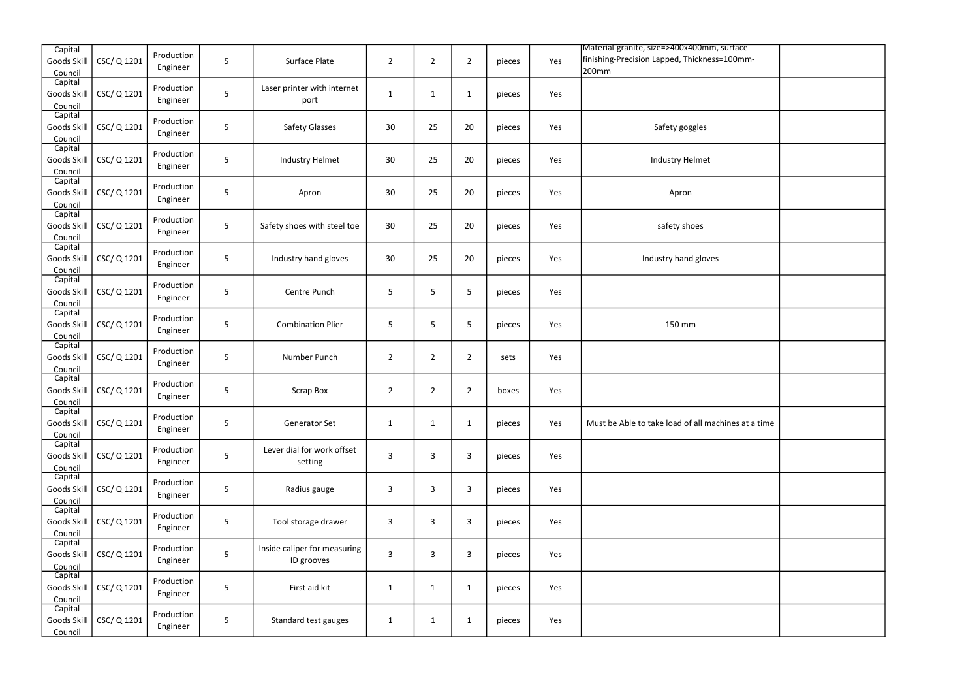| Capital                           |             |                        |                |                                            |                |                |                |        |     | Material-granite, size=>400x400mm, surface            |  |
|-----------------------------------|-------------|------------------------|----------------|--------------------------------------------|----------------|----------------|----------------|--------|-----|-------------------------------------------------------|--|
| Goods Skill<br>Council            | CSC/Q1201   | Production<br>Engineer | 5              | Surface Plate                              | $\overline{2}$ | $\overline{2}$ | $\overline{2}$ | pieces | Yes | finishing-Precision Lapped, Thickness=100mm-<br>200mm |  |
| Capital<br>Goods Skill<br>Council | CSC/Q1201   | Production<br>Engineer | 5              | Laser printer with internet<br>port        | $\mathbf{1}$   | $\mathbf{1}$   | $\mathbf{1}$   | pieces | Yes |                                                       |  |
| Capital<br>Goods Skill<br>Council | CSC/Q1201   | Production<br>Engineer | 5              | <b>Safety Glasses</b>                      | 30             | 25             | 20             | pieces | Yes | Safety goggles                                        |  |
| Capital<br>Goods Skill<br>Council | CSC/Q1201   | Production<br>Engineer | 5              | <b>Industry Helmet</b>                     | 30             | 25             | 20             | pieces | Yes | Industry Helmet                                       |  |
| Capital<br>Goods Skill<br>Council | CSC/Q1201   | Production<br>Engineer | 5              | Apron                                      | 30             | 25             | 20             | pieces | Yes | Apron                                                 |  |
| Capital<br>Goods Skill<br>Council | CSC/Q1201   | Production<br>Engineer | $\overline{5}$ | Safety shoes with steel toe                | 30             | 25             | 20             | pieces | Yes | safety shoes                                          |  |
| Capital<br>Goods Skill<br>Council | CSC/Q1201   | Production<br>Engineer | $\mathsf S$    | Industry hand gloves                       | 30             | 25             | 20             | pieces | Yes | Industry hand gloves                                  |  |
| Capital<br>Goods Skill<br>Council | CSC/Q1201   | Production<br>Engineer | 5              | Centre Punch                               | 5              | 5              | 5              | pieces | Yes |                                                       |  |
| Capital<br>Goods Skill<br>Council | CSC/Q1201   | Production<br>Engineer | 5              | <b>Combination Plier</b>                   | 5              | 5              | 5              | pieces | Yes | 150 mm                                                |  |
| Capital<br>Goods Skill<br>Council | CSC/Q1201   | Production<br>Engineer | 5              | Number Punch                               | $\overline{2}$ | $\overline{2}$ | $\overline{2}$ | sets   | Yes |                                                       |  |
| Capital<br>Goods Skill<br>Council | CSC/Q1201   | Production<br>Engineer | 5              | Scrap Box                                  | $\overline{2}$ | $\overline{2}$ | $\overline{2}$ | boxes  | Yes |                                                       |  |
| Capital<br>Goods Skill<br>Council | CSC/Q1201   | Production<br>Engineer | 5              | Generator Set                              | $\mathbf{1}$   | $\mathbf{1}$   | $\mathbf{1}$   | pieces | Yes | Must be Able to take load of all machines at a time   |  |
| Capital<br>Goods Skill<br>Council | CSC/Q1201   | Production<br>Engineer | 5              | Lever dial for work offset<br>setting      | 3              | 3              | 3              | pieces | Yes |                                                       |  |
| Capital<br>Goods Skill<br>Council | CSC/ Q 1201 | Production<br>Engineer | 5              | Radius gauge                               | 3              | 3              | $\mathbf{3}$   | pieces | Yes |                                                       |  |
| Capital<br>Goods Skill<br>Council | CSC/Q1201   | Production<br>Engineer | $\overline{5}$ | Tool storage drawer                        | 3              | 3              | $\mathbf{3}$   | pieces | Yes |                                                       |  |
| Capital<br>Goods Skill<br>Council | CSC/Q1201   | Production<br>Engineer | 5              | Inside caliper for measuring<br>ID grooves | 3              | 3              | 3              | pieces | Yes |                                                       |  |
| Capital<br>Goods Skill<br>Council | CSC/Q1201   | Production<br>Engineer | 5              | First aid kit                              | $\mathbf{1}$   | $\mathbf{1}$   | $\mathbf{1}$   | pieces | Yes |                                                       |  |
| Capital<br>Goods Skill<br>Council | CSC/Q1201   | Production<br>Engineer | $\overline{5}$ | Standard test gauges                       | $\mathbf{1}$   | $\mathbf{1}$   | $\mathbf{1}$   | pieces | Yes |                                                       |  |

| $\overline{\text{ce}}$<br>nm- |  |
|-------------------------------|--|
|                               |  |
|                               |  |
|                               |  |
|                               |  |
|                               |  |
|                               |  |
|                               |  |
|                               |  |
|                               |  |
|                               |  |
|                               |  |
|                               |  |
| at a time                     |  |
|                               |  |
|                               |  |
|                               |  |
|                               |  |
|                               |  |
|                               |  |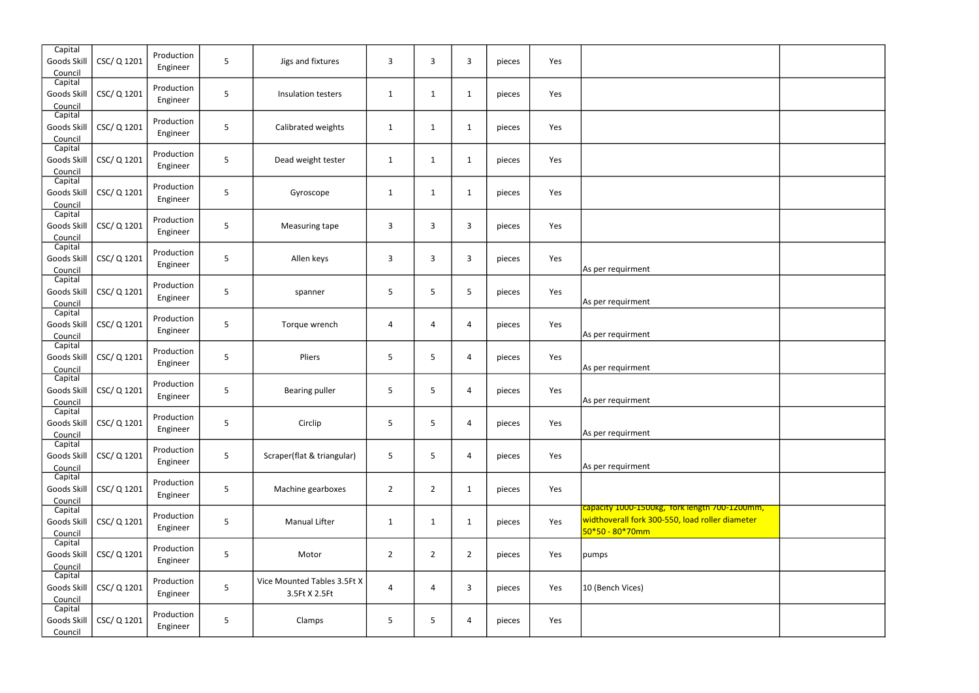| Capital<br>Goods Skill<br>Council | CSC/ Q 1201 | Production<br>Engineer | 5              | Jigs and fixtures                            | 3              | 3              | 3              | pieces | Yes |                                                                                                                       |  |
|-----------------------------------|-------------|------------------------|----------------|----------------------------------------------|----------------|----------------|----------------|--------|-----|-----------------------------------------------------------------------------------------------------------------------|--|
| Capital<br>Goods Skill<br>Council | CSC/Q1201   | Production<br>Engineer | 5              | Insulation testers                           | $\mathbf{1}$   | $\mathbf{1}$   | $\mathbf{1}$   | pieces | Yes |                                                                                                                       |  |
| Capital<br>Goods Skill<br>Council | CSC/Q1201   | Production<br>Engineer | 5              | Calibrated weights                           | $\mathbf{1}$   | $\mathbf{1}$   | $\mathbf{1}$   | pieces | Yes |                                                                                                                       |  |
| Capital<br>Goods Skill<br>Council | CSC/Q1201   | Production<br>Engineer | $\sqrt{5}$     | Dead weight tester                           | $\mathbf{1}$   | $\mathbf{1}$   | $\mathbf{1}$   | pieces | Yes |                                                                                                                       |  |
| Capital<br>Goods Skill<br>Council | CSC/Q1201   | Production<br>Engineer | 5              | Gyroscope                                    | $\mathbf 1$    | $\mathbf{1}$   | $\mathbf{1}$   | pieces | Yes |                                                                                                                       |  |
| Capital<br>Goods Skill<br>Council | CSC/Q1201   | Production<br>Engineer | 5              | Measuring tape                               | 3              | 3              | 3              | pieces | Yes |                                                                                                                       |  |
| Capital<br>Goods Skill<br>Council | CSC/Q1201   | Production<br>Engineer | 5              | Allen keys                                   | 3              | 3              | 3              | pieces | Yes | As per requirment                                                                                                     |  |
| Capital<br>Goods Skill<br>Council | CSC/Q1201   | Production<br>Engineer | 5              | spanner                                      | 5              | 5              | 5              | pieces | Yes | As per requirment                                                                                                     |  |
| Capital<br>Goods Skill<br>Council | CSC/Q1201   | Production<br>Engineer | 5              | Torque wrench                                | 4              | 4              | 4              | pieces | Yes | As per requirment                                                                                                     |  |
| Capital<br>Goods Skill<br>Council | CSC/Q1201   | Production<br>Engineer | 5              | Pliers                                       | 5              | 5              | 4              | pieces | Yes | As per requirment                                                                                                     |  |
| Capital<br>Goods Skill<br>Council | CSC/ Q 1201 | Production<br>Engineer | 5              | <b>Bearing puller</b>                        | 5              | 5              | 4              | pieces | Yes | As per requirment                                                                                                     |  |
| Capital<br>Goods Skill<br>Council | CSC/Q1201   | Production<br>Engineer | 5              | Circlip                                      | 5              | 5              | 4              | pieces | Yes | As per requirment                                                                                                     |  |
| Capital<br>Goods Skill<br>Council | CSC/ Q 1201 | Production<br>Engineer | 5              | Scraper(flat & triangular)                   | 5              | 5              | 4              | pieces | Yes | As per requirment                                                                                                     |  |
| Capital<br>Goods Skill<br>Council | CSC/Q1201   | Production<br>Engineer | 5              | Machine gearboxes                            | $\overline{2}$ | $\overline{2}$ | $\mathbf{1}$   | pieces | Yes |                                                                                                                       |  |
| Capital<br>Goods Skill<br>Council | CSC/Q1201   | Production<br>Engineer | 5              | <b>Manual Lifter</b>                         | $\mathbf{1}$   | $\mathbf{1}$   | $\mathbf{1}$   | pieces | Yes | capacity 1000-1500kg, fork length 700-1200mm,<br>widthoverall fork 300-550, load roller diameter<br>$50*50 - 80*70mm$ |  |
| Capital<br>Goods Skill<br>Council | CSC/Q1201   | Production<br>Engineer | 5              | Motor                                        | $\overline{2}$ | $\overline{2}$ | $\overline{2}$ | pieces | Yes | pumps                                                                                                                 |  |
| Capital<br>Goods Skill<br>Council | CSC/Q1201   | Production<br>Engineer | 5 <sub>5</sub> | Vice Mounted Tables 3.5Ft X<br>3.5Ft X 2.5Ft | 4              | $\overline{a}$ | 3              | pieces | Yes | 10 (Bench Vices)                                                                                                      |  |
| Capital<br>Goods Skill<br>Council | CSC/Q1201   | Production<br>Engineer | 5              | Clamps                                       | 5              | 5              | 4              | pieces | Yes |                                                                                                                       |  |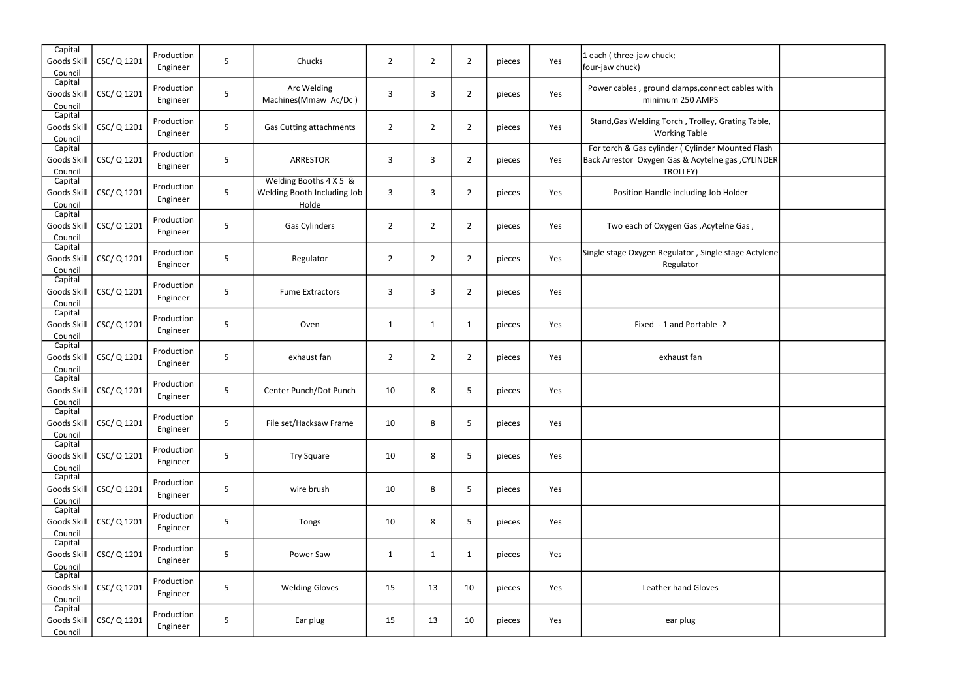| Capital<br>Goods Skill<br>Council | CSC/ Q 1201 | Production<br>Engineer | 5 | Chucks                                                         | $\overline{2}$ | $\overline{2}$ | $\overline{2}$ | pieces | Yes | 1 each (three-jaw chuck;<br>four-jaw chuck)                                                                         |
|-----------------------------------|-------------|------------------------|---|----------------------------------------------------------------|----------------|----------------|----------------|--------|-----|---------------------------------------------------------------------------------------------------------------------|
| Capital<br>Goods Skill<br>Council | CSC/ Q 1201 | Production<br>Engineer | 5 | Arc Welding<br>Machines(Mmaw Ac/Dc)                            | 3              | 3              | $\overline{2}$ | pieces | Yes | Power cables, ground clamps, connect cables with<br>minimum 250 AMPS                                                |
| Capital<br>Goods Skill<br>Council | CSC/Q1201   | Production<br>Engineer | 5 | <b>Gas Cutting attachments</b>                                 | $\overline{2}$ | $\overline{2}$ | $\overline{2}$ | pieces | Yes | Stand, Gas Welding Torch, Trolley, Grating Table,<br><b>Working Table</b>                                           |
| Capital<br>Goods Skill<br>Council | CSC/ Q 1201 | Production<br>Engineer | 5 | <b>ARRESTOR</b>                                                | 3              | 3              | $\overline{2}$ | pieces | Yes | For torch & Gas cylinder ( Cylinder Mounted Flash<br>Back Arrestor Oxygen Gas & Acytelne gas , CYLINDER<br>TROLLEY) |
| Capital<br>Goods Skill<br>Council | CSC/Q1201   | Production<br>Engineer | 5 | Welding Booths 4 X 5 &<br>Welding Booth Including Job<br>Holde | 3              | 3              | $\overline{2}$ | pieces | Yes | Position Handle including Job Holder                                                                                |
| Capital<br>Goods Skill<br>Council | CSC/Q1201   | Production<br>Engineer | 5 | Gas Cylinders                                                  | $\overline{2}$ | $\overline{2}$ | $\overline{2}$ | pieces | Yes | Two each of Oxygen Gas, Acytelne Gas,                                                                               |
| Capital<br>Goods Skill<br>Council | CSC/ Q 1201 | Production<br>Engineer | 5 | Regulator                                                      | $\overline{2}$ | $\overline{2}$ | $\overline{2}$ | pieces | Yes | Single stage Oxygen Regulator, Single stage Actylene<br>Regulator                                                   |
| Capital<br>Goods Skill<br>Council | CSC/Q1201   | Production<br>Engineer | 5 | <b>Fume Extractors</b>                                         | 3              | 3              | $\overline{2}$ | pieces | Yes |                                                                                                                     |
| Capital<br>Goods Skill<br>Council | CSC/Q1201   | Production<br>Engineer | 5 | Oven                                                           | $\mathbf{1}$   | $\mathbf{1}$   | $\mathbf{1}$   | pieces | Yes | Fixed - 1 and Portable -2                                                                                           |
| Capital<br>Goods Skill<br>Council | CSC/ Q 1201 | Production<br>Engineer | 5 | exhaust fan                                                    | $\overline{2}$ | $\overline{2}$ | $\overline{2}$ | pieces | Yes | exhaust fan                                                                                                         |
| Capital<br>Goods Skil<br>Council  | CSC/Q1201   | Production<br>Engineer | 5 | Center Punch/Dot Punch                                         | 10             | 8              | 5              | pieces | Yes |                                                                                                                     |
| Capital<br>Goods Skill<br>Council | CSC/ Q 1201 | Production<br>Engineer | 5 | File set/Hacksaw Frame                                         | 10             | 8              | 5              | pieces | Yes |                                                                                                                     |
| Capital<br>Goods Skill<br>Council | CSC/Q1201   | Production<br>Engineer | 5 | <b>Try Square</b>                                              | 10             | 8              | 5              | pieces | Yes |                                                                                                                     |
| Capital<br>Goods Skill<br>Council | CSC/Q1201   | Production<br>Engineer | 5 | wire brush                                                     | 10             | 8              | 5              | pieces | Yes |                                                                                                                     |
| Capital<br>Goods Skill<br>Council | CSC/Q1201   | Production<br>Engineer | 5 | Tongs                                                          | 10             | 8              | 5              | pieces | Yes |                                                                                                                     |
| Capital<br>Goods Skill<br>Council | CSC/Q1201   | Production<br>Engineer | 5 | Power Saw                                                      | $\mathbf{1}$   | $\mathbf{1}$   | $\mathbf{1}$   | pieces | Yes |                                                                                                                     |
| Capital<br>Goods Skill<br>Council | CSC/Q1201   | Production<br>Engineer | 5 | <b>Welding Gloves</b>                                          | 15             | 13             | 10             | pieces | Yes | Leather hand Gloves                                                                                                 |
| Capital<br>Goods Skill<br>Council | CSC/Q1201   | Production<br>Engineer | 5 | Ear plug                                                       | 15             | 13             | 10             | pieces | Yes | ear plug                                                                                                            |

| uck;                                                                               |  |
|------------------------------------------------------------------------------------|--|
| nd clamps,connect cables with<br>num 250 AMPS                                      |  |
| Torch, Trolley, Grating Table,<br>orking Table                                     |  |
| nder (Cylinder Mounted Flash<br>n Gas & Acytelne gas , CYLINDER<br><b>TROLLEY)</b> |  |
| dle including Job Holder                                                           |  |
| , xygen Gas ,Acytelne Gas,                                                         |  |
| egulator, Single stage Actylene<br>Regulator                                       |  |
|                                                                                    |  |
| 1 and Portable -2                                                                  |  |
| exhaust fan                                                                        |  |
|                                                                                    |  |
|                                                                                    |  |
|                                                                                    |  |
|                                                                                    |  |
|                                                                                    |  |
|                                                                                    |  |
| er hand Gloves                                                                     |  |
| ear plug                                                                           |  |